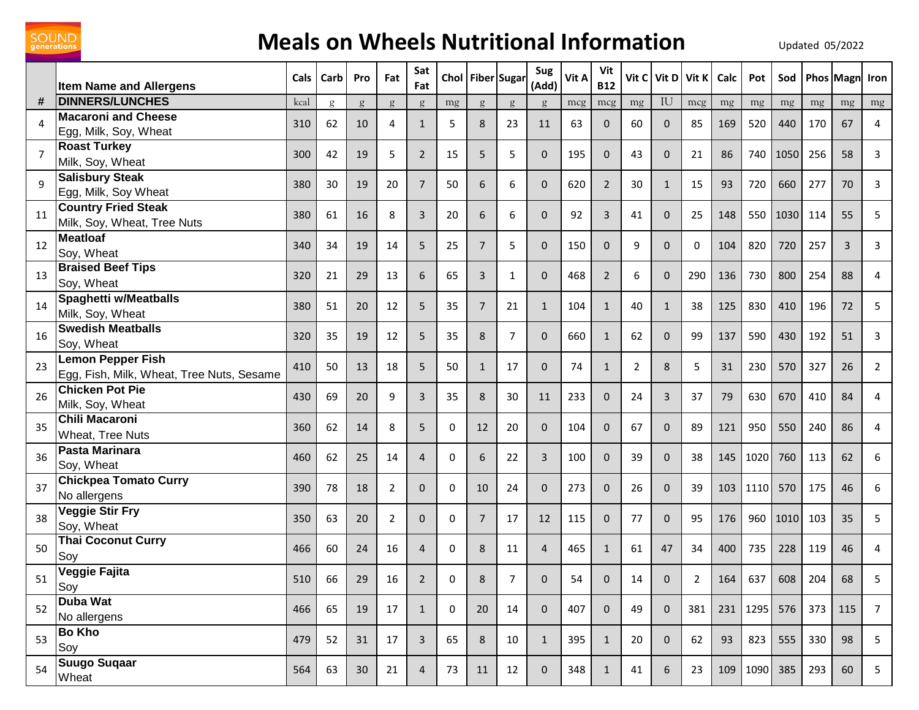

## **Meals on Wheels Nutritional Information** Updated 05/2022

|                | <b>Item Name and Allergens</b>                                        | <b>Cals</b> | Carb | Pro | Fat            | Sat<br>Fat     |    | Chol Fiber Sugar |                | Sug<br>(Add)   | Vit A | Vit<br><b>B12</b> | Vit C | Vit D               | Vit K          | Calc | Pot      | Sod  |     | <b>Phos Magn</b> | Iron           |
|----------------|-----------------------------------------------------------------------|-------------|------|-----|----------------|----------------|----|------------------|----------------|----------------|-------|-------------------|-------|---------------------|----------------|------|----------|------|-----|------------------|----------------|
| #              | <b>DINNERS/LUNCHES</b>                                                | kcal        | g    | g   | g              | g              | mg | g                | g              | $\mathfrak{g}$ | mcg   | mcg               | mg    | IU                  | mcg            | mg   | mg       | mg   | mg  | mg               | mg             |
| 4              | <b>Macaroni and Cheese</b><br>Egg, Milk, Soy, Wheat                   | 310         | 62   | 10  | 4              | $\mathbf{1}$   | 5  | 8                | 23             | 11             | 63    | $\mathbf 0$       | 60    | $\mathbf{0}$        | 85             | 169  | 520      | 440  | 170 | 67               | 4              |
| $\overline{7}$ | <b>Roast Turkey</b><br>Milk, Soy, Wheat                               | 300         | 42   | 19  | 5              | $\overline{2}$ | 15 | 5                | 5              | $\Omega$       | 195   | $\mathbf{0}$      | 43    | $\mathbf{0}$        | 21             | 86   | 740      | 1050 | 256 | 58               | 3              |
| $\mathbf{q}$   | <b>Salisbury Steak</b><br>Egg, Milk, Soy Wheat                        | 380         | 30   | 19  | 20             | $\overline{7}$ | 50 | 6                | 6              | $\Omega$       | 620   | $\overline{2}$    | 30    | $\mathbf{1}$        | 15             | 93   | 720      | 660  | 277 | 70               | 3              |
| 11             | <b>Country Fried Steak</b><br>Milk, Soy, Wheat, Tree Nuts             | 380         | 61   | 16  | 8              | 3              | 20 | 6                | 6              | $\Omega$       | 92    | $\mathbf{3}$      | 41    | $\mathbf{0}$        | 25             | 148  | 550      | 1030 | 114 | 55               | 5              |
| 12             | <b>Meatloaf</b><br>Soy, Wheat                                         | 340         | 34   | 19  | 14             | 5              | 25 | $\overline{7}$   | 5              | $\Omega$       | 150   | $\mathbf{0}$      | 9     | $\Omega$            | 0              | 104  | 820      | 720  | 257 | $\overline{3}$   | 3              |
| 13             | <b>Braised Beef Tips</b><br>Soy, Wheat                                | 320         | 21   | 29  | 13             | 6              | 65 | 3                | $\mathbf{1}$   | $\Omega$       | 468   | $\overline{2}$    | 6     | $\mathbf{0}$        | 290            | 136  | 730      | 800  | 254 | 88               | 4              |
| 14             | <b>Spaghetti w/Meatballs</b><br>Milk, Soy, Wheat                      | 380         | 51   | 20  | 12             | 5              | 35 | $\overline{7}$   | 21             | $\mathbf{1}$   | 104   | $\mathbf{1}$      | 40    | $\mathbf{1}$        | 38             | 125  | 830      | 410  | 196 | 72               | 5              |
| 16             | <b>Swedish Meatballs</b><br>Soy, Wheat                                | 320         | 35   | 19  | 12             | 5              | 35 | 8                | $\overline{7}$ | $\Omega$       | 660   | $\mathbf{1}$      | 62    | $\mathbf{0}$        | 99             | 137  | 590      | 430  | 192 | 51               | 3              |
| 23             | <b>Lemon Pepper Fish</b><br>Egg, Fish, Milk, Wheat, Tree Nuts, Sesame | 410         | 50   | 13  | 18             | 5              | 50 | $\mathbf{1}$     | 17             | $\Omega$       | 74    | $\mathbf{1}$      | 2     | 8                   | 5              | 31   | 230      | 570  | 327 | 26               | $\overline{2}$ |
| 26             | <b>Chicken Pot Pie</b><br>Milk, Soy, Wheat                            | 430         | 69   | 20  | 9              | $\overline{3}$ | 35 | 8                | 30             | 11             | 233   | $\mathbf{0}$      | 24    | 3                   | 37             | 79   | 630      | 670  | 410 | 84               | 4              |
| 35             | <b>Chili Macaroni</b><br>Wheat, Tree Nuts                             | 360         | 62   | 14  | 8              | 5              | 0  | 12               | 20             | $\Omega$       | 104   | $\mathbf{0}$      | 67    | $\mathbf{0}$        | 89             | 121  | 950      | 550  | 240 | 86               | 4              |
| 36             | <b>Pasta Marinara</b><br>Soy, Wheat                                   | 460         | 62   | 25  | 14             | $\overline{4}$ | 0  | 6                | 22             | 3              | 100   | $\mathbf 0$       | 39    | $\mathbf{0}$        | 38             | 145  | 1020     | 760  | 113 | 62               | 6              |
| 37             | <b>Chickpea Tomato Curry</b><br>No allergens                          | 390         | 78   | 18  | 2              | $\mathbf 0$    | 0  | 10               | 24             | $\Omega$       | 273   | $\mathbf{0}$      | 26    | $\mathbf{0}$        | 39             | 103  | 1110     | 570  | 175 | 46               | 6              |
| 38             | <b>Veggie Stir Fry</b><br>Soy, Wheat                                  | 350         | 63   | 20  | $\overline{2}$ | $\mathbf{0}$   | 0  | $\overline{7}$   | 17             | 12             | 115   | $\mathbf{0}$      | 77    | $\mathbf{0}$        | 95             | 176  | 960      | 1010 | 103 | 35               | 5              |
| 50             | <b>Thai Coconut Curry</b><br>Soy                                      | 466         | 60   | 24  | 16             | $\overline{4}$ | 0  | 8                | 11             | 4              | 465   | $\mathbf{1}$      | 61    | 47                  | 34             | 400  | 735      | 228  | 119 | 46               | 4              |
| 51             | Veggie Fajita<br>Soy                                                  | 510         | 66   | 29  | 16             | $\overline{2}$ | 0  | $\bf 8$          | $\overline{7}$ | $\mathsf{O}$   | 54    | $\mathbf 0$       | 14    | $\mathsf{O}\xspace$ | $\overline{2}$ | 164  | 637      | 608  | 204 | 68               | 5              |
| 52             | Duba Wat<br>No allergens                                              | 466         | 65   | 19  | 17             | $\mathbf{1}$   | 0  | 20               | 14             | $\mathbf{0}$   | 407   | $\mathbf 0$       | 49    | $\mathbf 0$         | 381            |      | 231 1295 | 576  | 373 | 115              | $\overline{7}$ |
| 53             | <b>Bo Kho</b><br>Soy                                                  | 479         | 52   | 31  | 17             | $\mathbf{3}$   | 65 | 8                | 10             | 1              | 395   | $\mathbf{1}$      | 20    | $\mathbf{0}$        | 62             | 93   | 823      | 555  | 330 | 98               | 5              |
| 54             | <b>Suugo Suqaar</b><br>Wheat                                          | 564         | 63   | 30  | 21             | $\overline{4}$ | 73 | 11               | 12             | $\mathbf 0$    | 348   | $\mathbf{1}$      | 41    | 6                   | 23             |      | 109 1090 | 385  | 293 | 60               | 5 <sub>1</sub> |